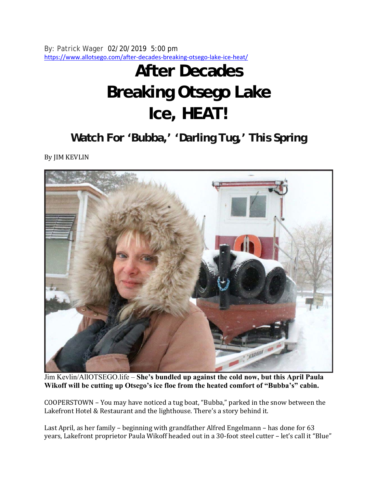By: Patrick Wager 02/20/2019 5:00 pm https://www.allotsego.com/after-decades-breaking-otsego-lake-ice-heat/

## **After Decades Breaking Otsego Lake Ice, HEAT!**

**Watch For 'Bubba,' 'Darling Tug,' This Spring** 

By JIM KEVLIN



Jim Kevlin/AllOTSEGO.life – **She's bundled up against the cold now, but this April Paula Wikoff will be cutting up Otsego's ice floe from the heated comfort of "Bubba's" cabin.**

COOPERSTOWN – You may have noticed a tug boat, "Bubba," parked in the snow between the Lakefront Hotel & Restaurant and the lighthouse. There's a story behind it.

Last April, as her family – beginning with grandfather Alfred Engelmann – has done for 63 years, Lakefront proprietor Paula Wikoff headed out in a 30-foot steel cutter – let's call it "Blue"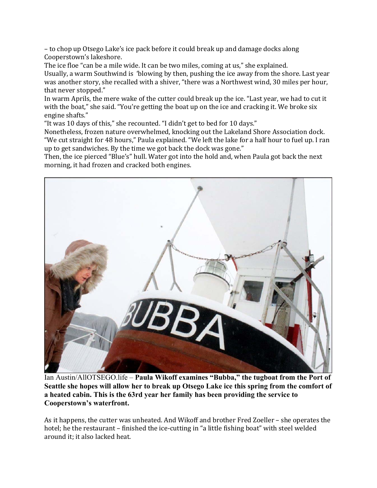– to chop up Otsego Lake's ice pack before it could break up and damage docks along Cooperstown's lakeshore.

The ice floe "can be a mile wide. It can be two miles, coming at us," she explained. Usually, a warm Southwind is 'blowing by then, pushing the ice away from the shore. Last year was another story, she recalled with a shiver, "there was a Northwest wind, 30 miles per hour, that never stopped."

In warm Aprils, the mere wake of the cutter could break up the ice. "Last year, we had to cut it with the boat," she said. "You're getting the boat up on the ice and cracking it. We broke six engine shafts."

"It was 10 days of this," she recounted. "I didn't get to bed for 10 days."

Nonetheless, frozen nature overwhelmed, knocking out the Lakeland Shore Association dock. "We cut straight for 48 hours," Paula explained. "We left the lake for a half hour to fuel up. I ran up to get sandwiches. By the time we got back the dock was gone."

Then, the ice pierced "Blue's" hull. Water got into the hold and, when Paula got back the next morning, it had frozen and cracked both engines.



Ian Austin/AllOTSEGO.life – **Paula Wikoff examines "Bubba," the tugboat from the Port of Seattle she hopes will allow her to break up Otsego Lake ice this spring from the comfort of a heated cabin. This is the 63rd year her family has been providing the service to Cooperstown's waterfront.**

As it happens, the cutter was unheated. And Wikoff and brother Fred Zoeller – she operates the hotel; he the restaurant – finished the ice-cutting in "a little fishing boat" with steel welded around it; it also lacked heat.